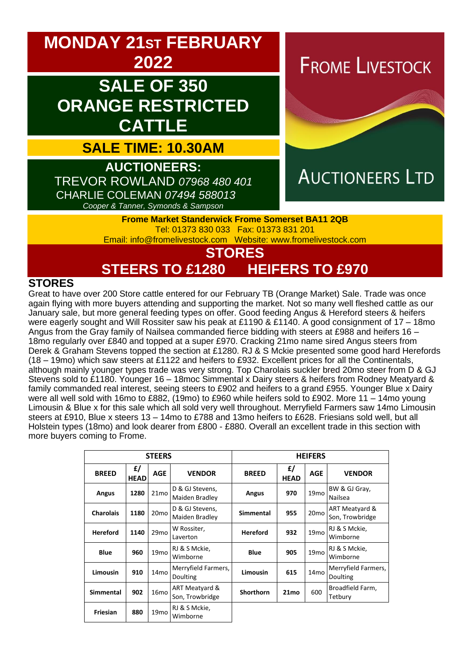

# **STEERS TO £1280 HEIFERS TO £970**

### **STORES**

Great to have over 200 Store cattle entered for our February TB (Orange Market) Sale. Trade was once again flying with more buyers attending and supporting the market. Not so many well fleshed cattle as our January sale, but more general feeding types on offer. Good feeding Angus & Hereford steers & heifers were eagerly sought and Will Rossiter saw his peak at £1190 & £1140. A good consignment of 17 – 18mo Angus from the Gray family of Nailsea commanded fierce bidding with steers at £988 and heifers 16 – 18mo regularly over £840 and topped at a super £970. Cracking 21mo name sired Angus steers from Derek & Graham Stevens topped the section at £1280. RJ & S Mckie presented some good hard Herefords (18 – 19mo) which saw steers at £1122 and heifers to £932. Excellent prices for all the Continentals, although mainly younger types trade was very strong. Top Charolais suckler bred 20mo steer from D & GJ Stevens sold to £1180. Younger 16 – 18moc Simmental x Dairy steers & heifers from Rodney Meatyard & family commanded real interest, seeing steers to £902 and heifers to a grand £955. Younger Blue x Dairy were all well sold with 16mo to £882, (19mo) to £960 while heifers sold to £902. More 11 – 14mo young Limousin & Blue x for this sale which all sold very well throughout. Merryfield Farmers saw 14mo Limousin steers at £910, Blue x steers 13 – 14mo to £788 and 13mo heifers to £628. Friesians sold well, but all Holstein types (18mo) and look dearer from £800 - £880. Overall an excellent trade in this section with more buyers coming to Frome.

| <b>STEERS</b>    |                   |                  |                                   | <b>HEIFERS</b>   |                   |                  |                                   |
|------------------|-------------------|------------------|-----------------------------------|------------------|-------------------|------------------|-----------------------------------|
| <b>BREED</b>     | £/<br><b>HEAD</b> | <b>AGE</b>       | <b>VENDOR</b>                     | <b>BREED</b>     | £/<br><b>HEAD</b> | <b>AGE</b>       | <b>VENDOR</b>                     |
| Angus            | 1280              | 21 <sub>mo</sub> | D & GJ Stevens,<br>Maiden Bradley | Angus            | 970               | 19 <sub>mo</sub> | BW & GJ Gray,<br>Nailsea          |
| <b>Charolais</b> | 1180              | 20 <sub>mo</sub> | D & GJ Stevens,<br>Maiden Bradley | <b>Simmental</b> | 955               | 20 <sub>mo</sub> | ART Meatyard &<br>Son, Trowbridge |
| <b>Hereford</b>  | 1140              | 29mo             | W Rossiter,<br>Laverton           | <b>Hereford</b>  | 932               | 19 <sub>mo</sub> | RJ & S Mckie,<br>Wimborne         |
| <b>Blue</b>      | 960               | 19 <sub>mo</sub> | RJ & S Mckie,<br>Wimborne         | <b>Blue</b>      | 905               | 19 <sub>mo</sub> | RJ & S Mckie,<br>Wimborne         |
| Limousin         | 910               | 14 <sub>mo</sub> | Merryfield Farmers,<br>Doulting   | <b>Limousin</b>  | 615               | 14 <sub>mo</sub> | Merryfield Farmers,<br>Doulting   |
| <b>Simmental</b> | 902               | 16 <sub>mo</sub> | ART Meatyard &<br>Son, Trowbridge | Shorthorn        | 21 <sub>mo</sub>  | 600              | Broadfield Farm,<br>Tetbury       |
| Friesian         | 880               | 19 <sub>mo</sub> | RJ & S Mckie,<br>Wimborne         |                  |                   |                  |                                   |